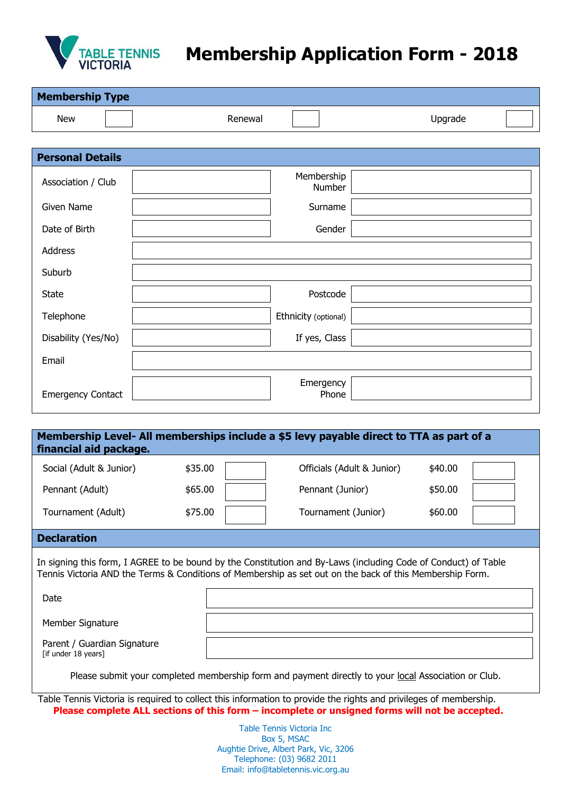

## **Membership Application Form - 2018**

| <b>Membership Type</b>                                                                                            |                      |         |
|-------------------------------------------------------------------------------------------------------------------|----------------------|---------|
| <b>New</b>                                                                                                        | Renewal              | Upgrade |
|                                                                                                                   |                      |         |
| <b>Personal Details</b>                                                                                           |                      |         |
| Association / Club                                                                                                | Membership           | Number  |
| <b>Given Name</b>                                                                                                 | Surname              |         |
| Date of Birth                                                                                                     |                      | Gender  |
| Address                                                                                                           |                      |         |
| Suburb                                                                                                            |                      |         |
| <b>State</b>                                                                                                      | Postcode             |         |
| Telephone                                                                                                         | Ethnicity (optional) |         |
| Disability (Yes/No)                                                                                               | If yes, Class        |         |
| Email                                                                                                             |                      |         |
| <b>Emergency Contact</b>                                                                                          | Emergency            | Phone   |
|                                                                                                                   |                      |         |
| Membership Level- All memberships include a \$5 levy payable direct to TTA as part of a<br>financial aid package. |                      |         |
| \$35.00<br>Officials (Adult & Junior)<br>\$40.00<br>Social (Adult & Junior)                                       |                      |         |

Tournament (Adult)  $$75.00$  Tournament (Junior)  $$60.00$ 

## **Declaration**

In signing this form, I AGREE to be bound by the Constitution and By-Laws (including Code of Conduct) of Table Tennis Victoria AND the Terms & Conditions of Membership as set out on the back of this Membership Form.

Pennant (Adult)  $$65.00$  Pennant (Junior)  $$50.00$ 

Date

Member Signature

Parent / Guardian Signature [if under 18 years]

Please submit your completed membership form and payment directly to your local Association or Club.

Table Tennis Victoria is required to collect this information to provide the rights and privileges of membership. **Please complete ALL sections of this form – incomplete or unsigned forms will not be accepted.**

> Table Tennis Victoria Inc Box 5, MSAC Aughtie Drive, Albert Park, Vic, 3206 Telephone: (03) 9682 2011 Email: info@tabletennis.vic.org.au